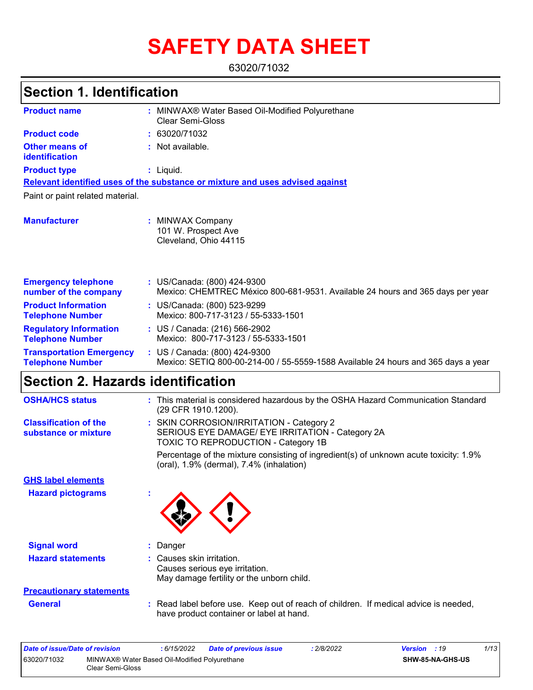# **SAFETY DATA SHEET**

63020/71032

# **Section 1. Identification**

| <b>Product name</b>                                        |   | MINWAX® Water Based Oil-Modified Polyurethane<br>Clear Semi-Gloss                                                  |  |
|------------------------------------------------------------|---|--------------------------------------------------------------------------------------------------------------------|--|
| <b>Product code</b>                                        |   | : 63020/71032                                                                                                      |  |
| <b>Other means of</b><br>identification                    |   | Not available.                                                                                                     |  |
| <b>Product type</b>                                        |   | : Liquid.                                                                                                          |  |
|                                                            |   | Relevant identified uses of the substance or mixture and uses advised against                                      |  |
| Paint or paint related material.                           |   |                                                                                                                    |  |
| <b>Manufacturer</b>                                        | ÷ | <b>MINWAX Company</b><br>101 W. Prospect Ave<br>Cleveland, Ohio 44115                                              |  |
| <b>Emergency telephone</b><br>number of the company        |   | : US/Canada: (800) 424-9300<br>Mexico: CHEMTREC México 800-681-9531. Available 24 hours and 365 days per year      |  |
| <b>Product Information</b><br><b>Telephone Number</b>      |   | : US/Canada: (800) 523-9299<br>Mexico: 800-717-3123 / 55-5333-1501                                                 |  |
| <b>Regulatory Information</b><br><b>Telephone Number</b>   |   | : US / Canada: (216) 566-2902<br>Mexico: 800-717-3123 / 55-5333-1501                                               |  |
| <b>Transportation Emergency</b><br><b>Telephone Number</b> |   | : US / Canada: (800) 424-9300<br>Mexico: SETIQ 800-00-214-00 / 55-5559-1588 Available 24 hours and 365 days a year |  |

## **Section 2. Hazards identification**

| <b>OSHA/HCS status</b>                               | This material is considered hazardous by the OSHA Hazard Communication Standard<br>(29 CFR 1910.1200).                                     |
|------------------------------------------------------|--------------------------------------------------------------------------------------------------------------------------------------------|
| <b>Classification of the</b><br>substance or mixture | : SKIN CORROSION/IRRITATION - Category 2<br>SERIOUS EYE DAMAGE/ EYE IRRITATION - Category 2A<br><b>TOXIC TO REPRODUCTION - Category 1B</b> |
|                                                      | Percentage of the mixture consisting of ingredient(s) of unknown acute toxicity: 1.9%<br>(oral), 1.9% (dermal), 7.4% (inhalation)          |
| <b>GHS label elements</b>                            |                                                                                                                                            |
| <b>Hazard pictograms</b>                             |                                                                                                                                            |
| <b>Signal word</b>                                   | : Danger                                                                                                                                   |
| <b>Hazard statements</b>                             | : Causes skin irritation.<br>Causes serious eye irritation.<br>May damage fertility or the unborn child.                                   |
| <b>Precautionary statements</b>                      |                                                                                                                                            |
| <b>General</b>                                       | : Read label before use. Keep out of reach of children. If medical advice is needed,<br>have product container or label at hand.           |
|                                                      |                                                                                                                                            |

| Date of issue/Date of revision |                                                                   | : 6/15/2022 | <b>Date of previous issue</b> | : 2/8/2022 | <b>Version</b> : 19     | 1/13 |
|--------------------------------|-------------------------------------------------------------------|-------------|-------------------------------|------------|-------------------------|------|
| 63020/71032                    | MINWAX® Water Based Oil-Modified Polyurethane<br>Clear Semi-Gloss |             |                               |            | <b>SHW-85-NA-GHS-US</b> |      |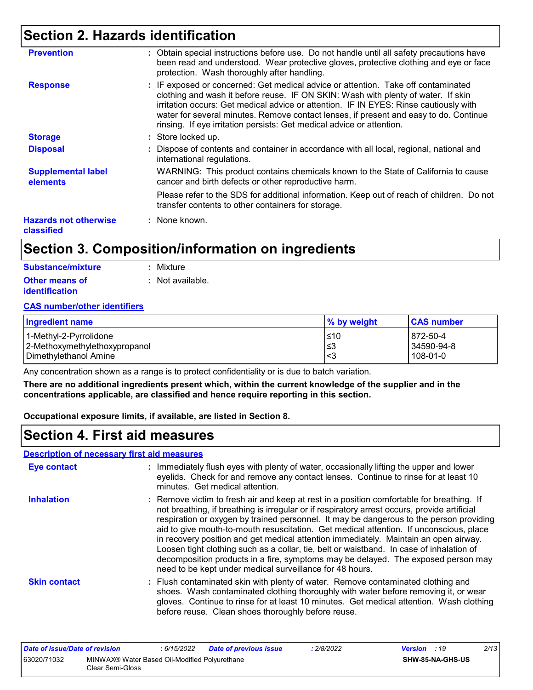### **Section 2. Hazards identification**

| <b>Prevention</b>                          | : Obtain special instructions before use. Do not handle until all safety precautions have<br>been read and understood. Wear protective gloves, protective clothing and eye or face<br>protection. Wash thoroughly after handling.                                                                                                                                                                                                 |
|--------------------------------------------|-----------------------------------------------------------------------------------------------------------------------------------------------------------------------------------------------------------------------------------------------------------------------------------------------------------------------------------------------------------------------------------------------------------------------------------|
| <b>Response</b>                            | : IF exposed or concerned: Get medical advice or attention. Take off contaminated<br>clothing and wash it before reuse. IF ON SKIN: Wash with plenty of water. If skin<br>irritation occurs: Get medical advice or attention. IF IN EYES: Rinse cautiously with<br>water for several minutes. Remove contact lenses, if present and easy to do. Continue<br>rinsing. If eye irritation persists: Get medical advice or attention. |
| <b>Storage</b>                             | : Store locked up.                                                                                                                                                                                                                                                                                                                                                                                                                |
| <b>Disposal</b>                            | : Dispose of contents and container in accordance with all local, regional, national and<br>international regulations.                                                                                                                                                                                                                                                                                                            |
| <b>Supplemental label</b><br>elements      | WARNING: This product contains chemicals known to the State of California to cause<br>cancer and birth defects or other reproductive harm.                                                                                                                                                                                                                                                                                        |
|                                            | Please refer to the SDS for additional information. Keep out of reach of children. Do not<br>transfer contents to other containers for storage.                                                                                                                                                                                                                                                                                   |
| <b>Hazards not otherwise</b><br>classified | : None known.                                                                                                                                                                                                                                                                                                                                                                                                                     |

### **Section 3. Composition/information on ingredients**

| Substance/mixture     | : Mixture        |
|-----------------------|------------------|
| <b>Other means of</b> | : Not available. |
| <i>identification</i> |                  |

#### **CAS number/other identifiers**

| <b>Ingredient name</b>        | % by weight | <b>CAS number</b> |
|-------------------------------|-------------|-------------------|
| l 1-Methvl-2-Pvrrolidone      | 510         | 872-50-4          |
| 2-Methoxymethylethoxypropanol | ≤3          | 34590-94-8        |
| l Dimethylethanol Amine       | -<3         | 108-01-0          |

Any concentration shown as a range is to protect confidentiality or is due to batch variation.

**There are no additional ingredients present which, within the current knowledge of the supplier and in the concentrations applicable, are classified and hence require reporting in this section.**

**Occupational exposure limits, if available, are listed in Section 8.**

### **Section 4. First aid measures**

#### **Description of necessary first aid measures**

| <b>Eye contact</b>  | : Immediately flush eyes with plenty of water, occasionally lifting the upper and lower<br>eyelids. Check for and remove any contact lenses. Continue to rinse for at least 10<br>minutes. Get medical attention.                                                                                                                                                                                                                                                                                                                                                                                                                                                                                                   |
|---------------------|---------------------------------------------------------------------------------------------------------------------------------------------------------------------------------------------------------------------------------------------------------------------------------------------------------------------------------------------------------------------------------------------------------------------------------------------------------------------------------------------------------------------------------------------------------------------------------------------------------------------------------------------------------------------------------------------------------------------|
| <b>Inhalation</b>   | : Remove victim to fresh air and keep at rest in a position comfortable for breathing. If<br>not breathing, if breathing is irregular or if respiratory arrest occurs, provide artificial<br>respiration or oxygen by trained personnel. It may be dangerous to the person providing<br>aid to give mouth-to-mouth resuscitation. Get medical attention. If unconscious, place<br>in recovery position and get medical attention immediately. Maintain an open airway.<br>Loosen tight clothing such as a collar, tie, belt or waistband. In case of inhalation of<br>decomposition products in a fire, symptoms may be delayed. The exposed person may<br>need to be kept under medical surveillance for 48 hours. |
| <b>Skin contact</b> | : Flush contaminated skin with plenty of water. Remove contaminated clothing and<br>shoes. Wash contaminated clothing thoroughly with water before removing it, or wear<br>gloves. Continue to rinse for at least 10 minutes. Get medical attention. Wash clothing<br>before reuse. Clean shoes thoroughly before reuse.                                                                                                                                                                                                                                                                                                                                                                                            |

| Date of issue/Date of revision |                                                                   | : 6/15/2022 | <b>Date of previous issue</b> | 2/8/2022 | <b>Version</b> : 19 |                         | 2/13 |
|--------------------------------|-------------------------------------------------------------------|-------------|-------------------------------|----------|---------------------|-------------------------|------|
| 63020/71032                    | MINWAX® Water Based Oil-Modified Polyurethane<br>Clear Semi-Gloss |             |                               |          |                     | <b>SHW-85-NA-GHS-US</b> |      |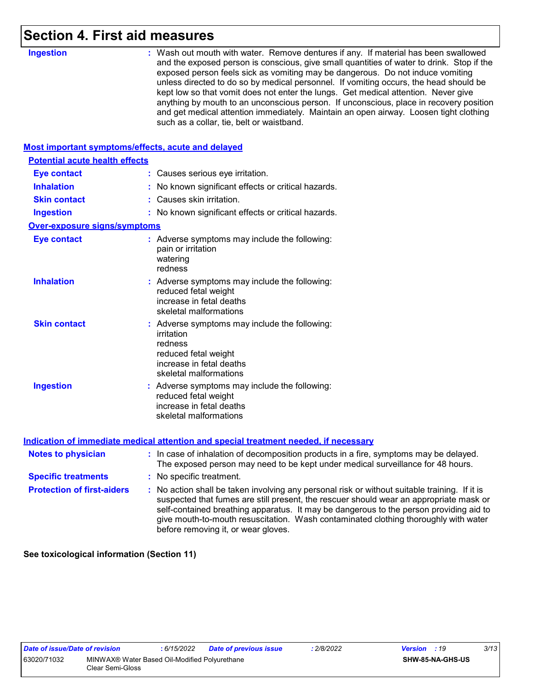### **Section 4. First aid measures**

| <b>Ingestion</b>                                   | : Wash out mouth with water. Remove dentures if any. If material has been swallowed<br>and the exposed person is conscious, give small quantities of water to drink. Stop if the<br>exposed person feels sick as vomiting may be dangerous. Do not induce vomiting                                                                                                                                          |
|----------------------------------------------------|-------------------------------------------------------------------------------------------------------------------------------------------------------------------------------------------------------------------------------------------------------------------------------------------------------------------------------------------------------------------------------------------------------------|
|                                                    | unless directed to do so by medical personnel. If vomiting occurs, the head should be<br>kept low so that vomit does not enter the lungs. Get medical attention. Never give<br>anything by mouth to an unconscious person. If unconscious, place in recovery position<br>and get medical attention immediately. Maintain an open airway. Loosen tight clothing<br>such as a collar, tie, belt or waistband. |
| Most important symptoms/effects, acute and delayed |                                                                                                                                                                                                                                                                                                                                                                                                             |
| <b>Potential acute health effects</b>              |                                                                                                                                                                                                                                                                                                                                                                                                             |
| <b>Eye contact</b>                                 | : Causes serious eye irritation.                                                                                                                                                                                                                                                                                                                                                                            |
| <b>Inhalation</b>                                  | : No known significant effects or critical hazards.                                                                                                                                                                                                                                                                                                                                                         |
| <b>Skin contact</b>                                | : Causes skin irritation.                                                                                                                                                                                                                                                                                                                                                                                   |
| <b>Ingestion</b>                                   | : No known significant effects or critical hazards.                                                                                                                                                                                                                                                                                                                                                         |
| <b>Over-exposure signs/symptoms</b>                |                                                                                                                                                                                                                                                                                                                                                                                                             |
| <b>Eye contact</b>                                 | : Adverse symptoms may include the following:<br>pain or irritation<br>watering<br>redness                                                                                                                                                                                                                                                                                                                  |
| <b>Inhalation</b>                                  | : Adverse symptoms may include the following:<br>reduced fetal weight<br>increase in fetal deaths<br>skeletal malformations                                                                                                                                                                                                                                                                                 |
| <b>Skin contact</b>                                | : Adverse symptoms may include the following:<br>irritation<br>redness<br>reduced fetal weight<br>increase in fetal deaths<br>skeletal malformations                                                                                                                                                                                                                                                        |
| <b>Ingestion</b>                                   | : Adverse symptoms may include the following:<br>reduced fetal weight<br>increase in fetal deaths<br>skeletal malformations                                                                                                                                                                                                                                                                                 |
|                                                    | <b>Indication of immediate medical attention and special treatment needed, if necessary</b>                                                                                                                                                                                                                                                                                                                 |
| <b>Notes to physician</b>                          | : In case of inhalation of decomposition products in a fire, symptoms may be delayed.<br>The exposed person may need to be kept under medical surveillance for 48 hours.                                                                                                                                                                                                                                    |
| <b>Specific treatments</b>                         | : No specific treatment.                                                                                                                                                                                                                                                                                                                                                                                    |
| <b>Protection of first-aiders</b>                  | : No action shall be taken involving any personal risk or without suitable training. If it is<br>suspected that fumes are still present, the rescuer should wear an appropriate mask or<br>self-contained breathing apparatus. It may be dangerous to the person providing aid to                                                                                                                           |

before removing it, or wear gloves.

**See toxicological information (Section 11)**

give mouth-to-mouth resuscitation. Wash contaminated clothing thoroughly with water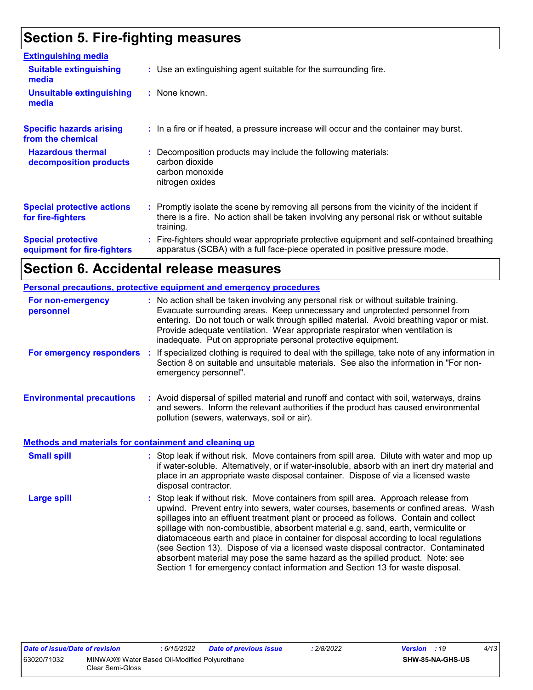# **Section 5. Fire-fighting measures**

| <b>Extinguishing media</b>                               |                                                                                                                                                                                                     |
|----------------------------------------------------------|-----------------------------------------------------------------------------------------------------------------------------------------------------------------------------------------------------|
| <b>Suitable extinguishing</b><br>media                   | : Use an extinguishing agent suitable for the surrounding fire.                                                                                                                                     |
| <b>Unsuitable extinguishing</b><br>media                 | : None known.                                                                                                                                                                                       |
| <b>Specific hazards arising</b><br>from the chemical     | : In a fire or if heated, a pressure increase will occur and the container may burst.                                                                                                               |
| <b>Hazardous thermal</b><br>decomposition products       | : Decomposition products may include the following materials:<br>carbon dioxide<br>carbon monoxide<br>nitrogen oxides                                                                               |
| <b>Special protective actions</b><br>for fire-fighters   | : Promptly isolate the scene by removing all persons from the vicinity of the incident if<br>there is a fire. No action shall be taken involving any personal risk or without suitable<br>training. |
| <b>Special protective</b><br>equipment for fire-fighters | Fire-fighters should wear appropriate protective equipment and self-contained breathing<br>apparatus (SCBA) with a full face-piece operated in positive pressure mode.                              |

# **Section 6. Accidental release measures**

|                                                       | <b>Personal precautions, protective equipment and emergency procedures</b>                                                                                                                                                                                                                                                                                                                                                                                                                                                                                                                                                                                                                                   |
|-------------------------------------------------------|--------------------------------------------------------------------------------------------------------------------------------------------------------------------------------------------------------------------------------------------------------------------------------------------------------------------------------------------------------------------------------------------------------------------------------------------------------------------------------------------------------------------------------------------------------------------------------------------------------------------------------------------------------------------------------------------------------------|
| For non-emergency<br>personnel                        | : No action shall be taken involving any personal risk or without suitable training.<br>Evacuate surrounding areas. Keep unnecessary and unprotected personnel from<br>entering. Do not touch or walk through spilled material. Avoid breathing vapor or mist.<br>Provide adequate ventilation. Wear appropriate respirator when ventilation is<br>inadequate. Put on appropriate personal protective equipment.                                                                                                                                                                                                                                                                                             |
| For emergency responders                              | : If specialized clothing is required to deal with the spillage, take note of any information in<br>Section 8 on suitable and unsuitable materials. See also the information in "For non-<br>emergency personnel".                                                                                                                                                                                                                                                                                                                                                                                                                                                                                           |
| <b>Environmental precautions</b>                      | : Avoid dispersal of spilled material and runoff and contact with soil, waterways, drains<br>and sewers. Inform the relevant authorities if the product has caused environmental<br>pollution (sewers, waterways, soil or air).                                                                                                                                                                                                                                                                                                                                                                                                                                                                              |
| Methods and materials for containment and cleaning up |                                                                                                                                                                                                                                                                                                                                                                                                                                                                                                                                                                                                                                                                                                              |
| <b>Small spill</b>                                    | : Stop leak if without risk. Move containers from spill area. Dilute with water and mop up<br>if water-soluble. Alternatively, or if water-insoluble, absorb with an inert dry material and<br>place in an appropriate waste disposal container. Dispose of via a licensed waste<br>disposal contractor.                                                                                                                                                                                                                                                                                                                                                                                                     |
| <b>Large spill</b>                                    | : Stop leak if without risk. Move containers from spill area. Approach release from<br>upwind. Prevent entry into sewers, water courses, basements or confined areas. Wash<br>spillages into an effluent treatment plant or proceed as follows. Contain and collect<br>spillage with non-combustible, absorbent material e.g. sand, earth, vermiculite or<br>diatomaceous earth and place in container for disposal according to local regulations<br>(see Section 13). Dispose of via a licensed waste disposal contractor. Contaminated<br>absorbent material may pose the same hazard as the spilled product. Note: see<br>Section 1 for emergency contact information and Section 13 for waste disposal. |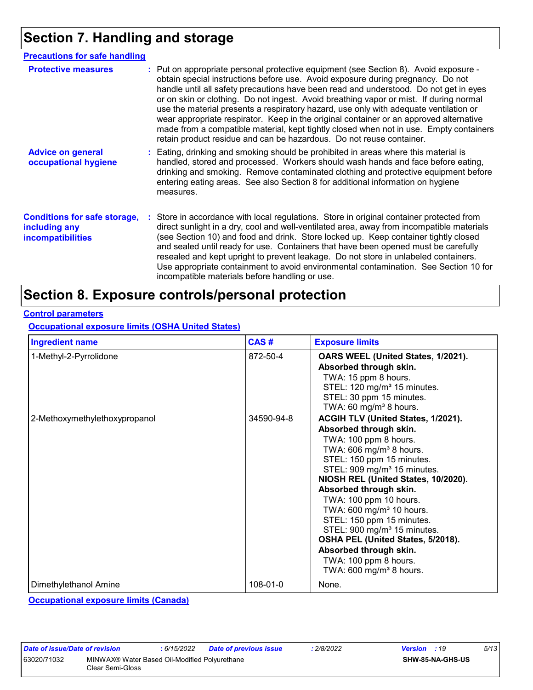### **Section 7. Handling and storage**

| <b>Precautions for safe handling</b>                                             |                                                                                                                                                                                                                                                                                                                                                                                                                                                                                                                                                                                                                                                                                                                 |
|----------------------------------------------------------------------------------|-----------------------------------------------------------------------------------------------------------------------------------------------------------------------------------------------------------------------------------------------------------------------------------------------------------------------------------------------------------------------------------------------------------------------------------------------------------------------------------------------------------------------------------------------------------------------------------------------------------------------------------------------------------------------------------------------------------------|
| <b>Protective measures</b>                                                       | : Put on appropriate personal protective equipment (see Section 8). Avoid exposure -<br>obtain special instructions before use. Avoid exposure during pregnancy. Do not<br>handle until all safety precautions have been read and understood. Do not get in eyes<br>or on skin or clothing. Do not ingest. Avoid breathing vapor or mist. If during normal<br>use the material presents a respiratory hazard, use only with adequate ventilation or<br>wear appropriate respirator. Keep in the original container or an approved alternative<br>made from a compatible material, kept tightly closed when not in use. Empty containers<br>retain product residue and can be hazardous. Do not reuse container. |
| <b>Advice on general</b><br>occupational hygiene                                 | : Eating, drinking and smoking should be prohibited in areas where this material is<br>handled, stored and processed. Workers should wash hands and face before eating,<br>drinking and smoking. Remove contaminated clothing and protective equipment before<br>entering eating areas. See also Section 8 for additional information on hygiene<br>measures.                                                                                                                                                                                                                                                                                                                                                   |
| <b>Conditions for safe storage,</b><br>including any<br><i>incompatibilities</i> | Store in accordance with local regulations. Store in original container protected from<br>direct sunlight in a dry, cool and well-ventilated area, away from incompatible materials<br>(see Section 10) and food and drink. Store locked up. Keep container tightly closed<br>and sealed until ready for use. Containers that have been opened must be carefully<br>resealed and kept upright to prevent leakage. Do not store in unlabeled containers.<br>Use appropriate containment to avoid environmental contamination. See Section 10 for<br>incompatible materials before handling or use.                                                                                                               |

### **Section 8. Exposure controls/personal protection**

#### **Control parameters**

**Occupational exposure limits (OSHA United States)**

| <b>Ingredient name</b>        | CAS#       | <b>Exposure limits</b>                                                                                                                                                                                                                                                                                                                                                                                                                                                                                                                        |
|-------------------------------|------------|-----------------------------------------------------------------------------------------------------------------------------------------------------------------------------------------------------------------------------------------------------------------------------------------------------------------------------------------------------------------------------------------------------------------------------------------------------------------------------------------------------------------------------------------------|
| 1-Methyl-2-Pyrrolidone        | 872-50-4   | OARS WEEL (United States, 1/2021).<br>Absorbed through skin.<br>TWA: 15 ppm 8 hours.<br>STEL: 120 mg/m <sup>3</sup> 15 minutes.<br>STEL: 30 ppm 15 minutes.<br>TWA: 60 mg/m <sup>3</sup> 8 hours.                                                                                                                                                                                                                                                                                                                                             |
| 2-Methoxymethylethoxypropanol | 34590-94-8 | ACGIH TLV (United States, 1/2021).<br>Absorbed through skin.<br>TWA: 100 ppm 8 hours.<br>TWA: 606 mg/m <sup>3</sup> 8 hours.<br>STEL: 150 ppm 15 minutes.<br>STEL: 909 mg/m <sup>3</sup> 15 minutes.<br>NIOSH REL (United States, 10/2020).<br>Absorbed through skin.<br>TWA: 100 ppm 10 hours.<br>TWA: 600 mg/m <sup>3</sup> 10 hours.<br>STEL: 150 ppm 15 minutes.<br>STEL: 900 mg/m <sup>3</sup> 15 minutes.<br>OSHA PEL (United States, 5/2018).<br>Absorbed through skin.<br>TWA: 100 ppm 8 hours.<br>TWA: $600 \text{ mg/m}^3$ 8 hours. |
| Dimethylethanol Amine         | 108-01-0   | None.                                                                                                                                                                                                                                                                                                                                                                                                                                                                                                                                         |

**Occupational exposure limits (Canada)**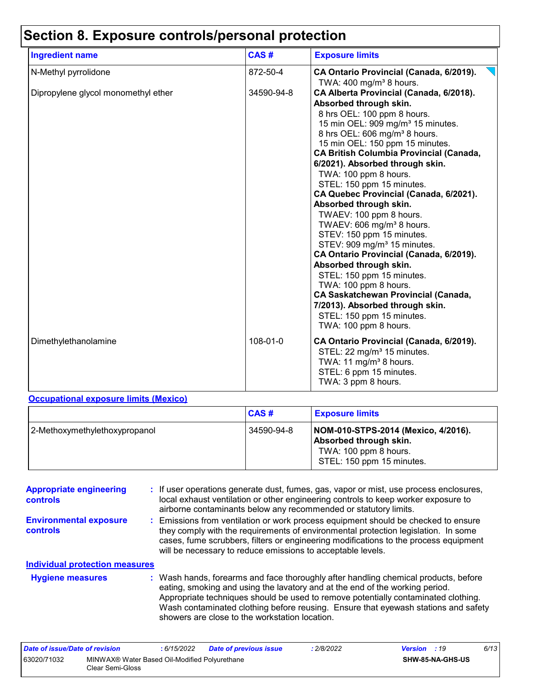# **Section 8. Exposure controls/personal protection**

| <b>Ingredient name</b>              | CAS#       | <b>Exposure limits</b>                                                                                                                                                                                                                                                                                                                                                                                                                                                                                                                                                                                                                                                                                                               |
|-------------------------------------|------------|--------------------------------------------------------------------------------------------------------------------------------------------------------------------------------------------------------------------------------------------------------------------------------------------------------------------------------------------------------------------------------------------------------------------------------------------------------------------------------------------------------------------------------------------------------------------------------------------------------------------------------------------------------------------------------------------------------------------------------------|
| N-Methyl pyrrolidone                | 872-50-4   | CA Ontario Provincial (Canada, 6/2019).                                                                                                                                                                                                                                                                                                                                                                                                                                                                                                                                                                                                                                                                                              |
| Dipropylene glycol monomethyl ether | 34590-94-8 | TWA: $400 \text{ mg/m}^3$ 8 hours.<br>CA Alberta Provincial (Canada, 6/2018).<br>Absorbed through skin.<br>8 hrs OEL: 100 ppm 8 hours.<br>15 min OEL: 909 mg/m <sup>3</sup> 15 minutes.<br>8 hrs OEL: 606 mg/m <sup>3</sup> 8 hours.<br>15 min OEL: 150 ppm 15 minutes.<br><b>CA British Columbia Provincial (Canada,</b><br>6/2021). Absorbed through skin.<br>TWA: 100 ppm 8 hours.<br>STEL: 150 ppm 15 minutes.<br>CA Quebec Provincial (Canada, 6/2021).<br>Absorbed through skin.<br>TWAEV: 100 ppm 8 hours.<br>TWAEV: 606 mg/m <sup>3</sup> 8 hours.<br>STEV: 150 ppm 15 minutes.<br>STEV: 909 mg/m <sup>3</sup> 15 minutes.<br>CA Ontario Provincial (Canada, 6/2019).<br>Absorbed through skin.<br>STEL: 150 ppm 15 minutes. |
|                                     |            | TWA: 100 ppm 8 hours.<br><b>CA Saskatchewan Provincial (Canada,</b><br>7/2013). Absorbed through skin.<br>STEL: 150 ppm 15 minutes.<br>TWA: 100 ppm 8 hours.                                                                                                                                                                                                                                                                                                                                                                                                                                                                                                                                                                         |
| Dimethylethanolamine                | 108-01-0   | CA Ontario Provincial (Canada, 6/2019).<br>STEL: 22 mg/m <sup>3</sup> 15 minutes.<br>TWA: 11 mg/m <sup>3</sup> 8 hours.<br>STEL: 6 ppm 15 minutes.<br>TWA: 3 ppm 8 hours.                                                                                                                                                                                                                                                                                                                                                                                                                                                                                                                                                            |

#### **Occupational exposure limits (Mexico)**

|                               | <b>CAS#</b> | <b>Exposure limits</b>                                                                                              |
|-------------------------------|-------------|---------------------------------------------------------------------------------------------------------------------|
| 2-Methoxymethylethoxypropanol | 34590-94-8  | NOM-010-STPS-2014 (Mexico, 4/2016).<br>Absorbed through skin.<br>TWA: 100 ppm 8 hours.<br>STEL: 150 ppm 15 minutes. |

| <b>Appropriate engineering</b><br><b>controls</b> | : If user operations generate dust, fumes, gas, vapor or mist, use process enclosures,<br>local exhaust ventilation or other engineering controls to keep worker exposure to<br>airborne contaminants below any recommended or statutory limits.                                                                                                                                                  |
|---------------------------------------------------|---------------------------------------------------------------------------------------------------------------------------------------------------------------------------------------------------------------------------------------------------------------------------------------------------------------------------------------------------------------------------------------------------|
| <b>Environmental exposure</b><br>controls         | : Emissions from ventilation or work process equipment should be checked to ensure<br>they comply with the requirements of environmental protection legislation. In some<br>cases, fume scrubbers, filters or engineering modifications to the process equipment<br>will be necessary to reduce emissions to acceptable levels.                                                                   |
| <b>Individual protection measures</b>             |                                                                                                                                                                                                                                                                                                                                                                                                   |
| <b>Hygiene measures</b>                           | : Wash hands, forearms and face thoroughly after handling chemical products, before<br>eating, smoking and using the lavatory and at the end of the working period.<br>Appropriate techniques should be used to remove potentially contaminated clothing.<br>Wash contaminated clothing before reusing. Ensure that eyewash stations and safety<br>showers are close to the workstation location. |

| Date of issue/Date of revision |                                                                   | 6/15/2022 | <b>Date of previous issue</b> | : 2/8/2022 | <b>Version</b> : 19 |                  | 6/13 |
|--------------------------------|-------------------------------------------------------------------|-----------|-------------------------------|------------|---------------------|------------------|------|
| 63020/71032                    | MINWAX® Water Based Oil-Modified Polyurethane<br>Clear Semi-Gloss |           |                               |            |                     | SHW-85-NA-GHS-US |      |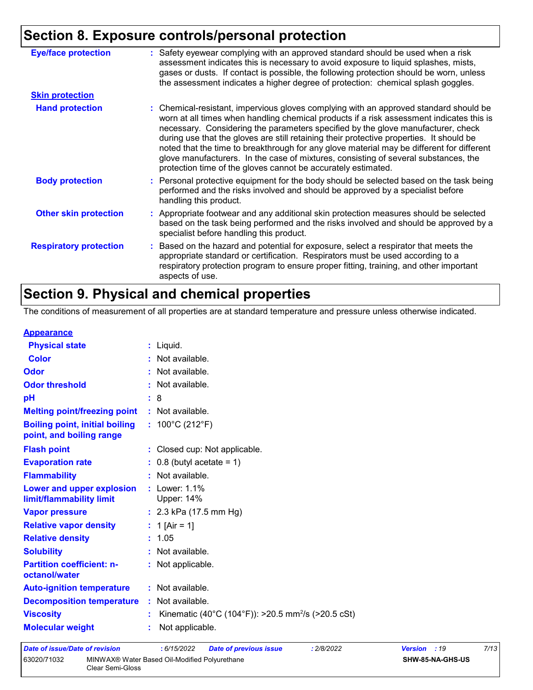# **Section 8. Exposure controls/personal protection**

| : Safety eyewear complying with an approved standard should be used when a risk<br>assessment indicates this is necessary to avoid exposure to liquid splashes, mists,<br>gases or dusts. If contact is possible, the following protection should be worn, unless<br>the assessment indicates a higher degree of protection: chemical splash goggles.                                                                                                                                                                                                                                                                  |
|------------------------------------------------------------------------------------------------------------------------------------------------------------------------------------------------------------------------------------------------------------------------------------------------------------------------------------------------------------------------------------------------------------------------------------------------------------------------------------------------------------------------------------------------------------------------------------------------------------------------|
|                                                                                                                                                                                                                                                                                                                                                                                                                                                                                                                                                                                                                        |
| : Chemical-resistant, impervious gloves complying with an approved standard should be<br>worn at all times when handling chemical products if a risk assessment indicates this is<br>necessary. Considering the parameters specified by the glove manufacturer, check<br>during use that the gloves are still retaining their protective properties. It should be<br>noted that the time to breakthrough for any glove material may be different for different<br>glove manufacturers. In the case of mixtures, consisting of several substances, the<br>protection time of the gloves cannot be accurately estimated. |
| : Personal protective equipment for the body should be selected based on the task being<br>performed and the risks involved and should be approved by a specialist before<br>handling this product.                                                                                                                                                                                                                                                                                                                                                                                                                    |
| : Appropriate footwear and any additional skin protection measures should be selected<br>based on the task being performed and the risks involved and should be approved by a<br>specialist before handling this product.                                                                                                                                                                                                                                                                                                                                                                                              |
| : Based on the hazard and potential for exposure, select a respirator that meets the<br>appropriate standard or certification. Respirators must be used according to a<br>respiratory protection program to ensure proper fitting, training, and other important<br>aspects of use.                                                                                                                                                                                                                                                                                                                                    |
|                                                                                                                                                                                                                                                                                                                                                                                                                                                                                                                                                                                                                        |

### **Section 9. Physical and chemical properties**

The conditions of measurement of all properties are at standard temperature and pressure unless otherwise indicated.

#### **Appearance**

| <b>Physical state</b>                                             | $:$ Liquid.                                                    |
|-------------------------------------------------------------------|----------------------------------------------------------------|
| <b>Color</b>                                                      | : Not available.                                               |
| Odor                                                              | : Not available.                                               |
| <b>Odor threshold</b>                                             | : Not available.                                               |
| pH                                                                | : 8                                                            |
| <b>Melting point/freezing point</b>                               | : Not available.                                               |
| <b>Boiling point, initial boiling</b><br>point, and boiling range | : $100^{\circ}$ C (212 $^{\circ}$ F)                           |
| <b>Flash point</b>                                                | : Closed cup: Not applicable.                                  |
| <b>Evaporation rate</b>                                           | $\therefore$ 0.8 (butyl acetate = 1)                           |
| <b>Flammability</b>                                               | : Not available.                                               |
| Lower and upper explosion<br>limit/flammability limit             | : Lower: 1.1%<br><b>Upper: 14%</b>                             |
| <b>Vapor pressure</b>                                             | : $2.3$ kPa (17.5 mm Hg)                                       |
| <b>Relative vapor density</b>                                     | : 1 [Air = 1]                                                  |
| <b>Relative density</b>                                           | : 1.05                                                         |
| <b>Solubility</b>                                                 | : Not available.                                               |
| <b>Partition coefficient: n-</b><br>octanol/water                 | : Not applicable.                                              |
| <b>Auto-ignition temperature</b>                                  | : Not available.                                               |
| <b>Decomposition temperature</b>                                  | : Not available.                                               |
| <b>Viscosity</b>                                                  | Kinematic (40°C (104°F)): >20.5 mm <sup>2</sup> /s (>20.5 cSt) |
| <b>Molecular weight</b>                                           | Not applicable.                                                |
|                                                                   |                                                                |

| Date of issue/Date of revision |                                                                   | : 6/15/2022 | <b>Date of previous issue</b> | : 2/8/2022 | <b>Version</b> : 19 |                         | 7/13 |  |
|--------------------------------|-------------------------------------------------------------------|-------------|-------------------------------|------------|---------------------|-------------------------|------|--|
| 63020/71032                    | MINWAX® Water Based Oil-Modified Polyurethane<br>Clear Semi-Gloss |             |                               |            |                     | <b>SHW-85-NA-GHS-US</b> |      |  |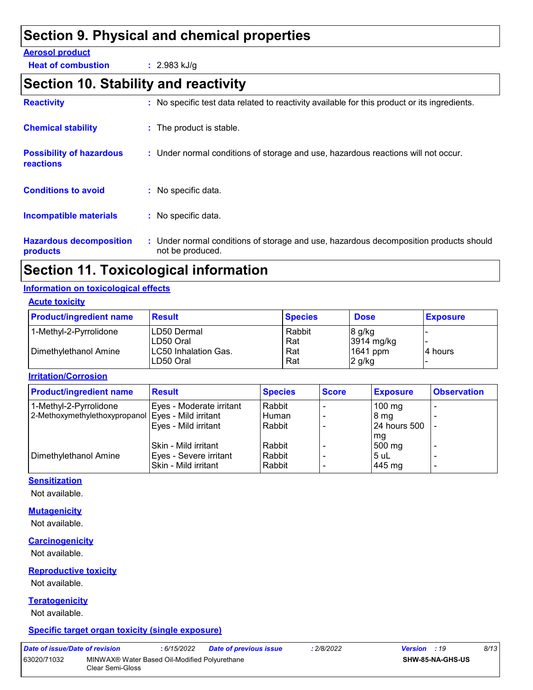### **Section 9. Physical and chemical properties**

#### **Aerosol product**

**Heat of combustion :** 2.983 kJ/g

### **Section 10. Stability and reactivity**

| <b>Reactivity</b>                                   | : No specific test data related to reactivity available for this product or its ingredients.              |
|-----------------------------------------------------|-----------------------------------------------------------------------------------------------------------|
| <b>Chemical stability</b>                           | : The product is stable.                                                                                  |
| <b>Possibility of hazardous</b><br><b>reactions</b> | : Under normal conditions of storage and use, hazardous reactions will not occur.                         |
| <b>Conditions to avoid</b>                          | $:$ No specific data.                                                                                     |
| <b>Incompatible materials</b>                       | : No specific data.                                                                                       |
| <b>Hazardous decomposition</b><br>products          | : Under normal conditions of storage and use, hazardous decomposition products should<br>not be produced. |

### **Section 11. Toxicological information**

#### **Information on toxicological effects**

#### **Acute toxicity**

| <b>Product/ingredient name</b>                  | <b>Result</b>                                                   | <b>Species</b>              | <b>Dose</b>                                  | <b>Exposure</b> |
|-------------------------------------------------|-----------------------------------------------------------------|-----------------------------|----------------------------------------------|-----------------|
| 1-Methyl-2-Pyrrolidone<br>Dimethylethanol Amine | ILD50 Dermal<br>ILD50 Oral<br>LC50 Inhalation Gas.<br>LD50 Oral | Rabbit<br>Rat<br>Rat<br>Rat | 8 g/kg<br>3914 mg/kg<br>1641 ppm<br>$2$ g/kg | 4 hours         |

**Irritation/Corrosion**

| <b>Product/ingredient name</b> | <b>Result</b>            | <b>Species</b> | <b>Score</b> | <b>Exposure</b>     | <b>Observation</b>       |
|--------------------------------|--------------------------|----------------|--------------|---------------------|--------------------------|
| 1-Methyl-2-Pyrrolidone         | Eyes - Moderate irritant | Rabbit         |              | $100$ mg            |                          |
| 2-Methoxymethylethoxypropanol  | Eyes - Mild irritant     | Human          |              | 8 mg                |                          |
|                                | Eyes - Mild irritant     | Rabbit         |              | <b>24 hours 500</b> |                          |
|                                |                          |                |              | mg                  |                          |
|                                | Skin - Mild irritant     | Rabbit         |              | 500 mg              |                          |
| Dimethylethanol Amine          | Eyes - Severe irritant   | Rabbit         |              | 5 uL                |                          |
|                                | Skin - Mild irritant     | Rabbit         |              | 445 mg              | $\overline{\phantom{0}}$ |

#### **Sensitization**

Not available.

#### **Mutagenicity**

Not available.

#### **Carcinogenicity**

Not available.

#### **Reproductive toxicity**

Not available.

#### **Teratogenicity**

Not available.

#### **Specific target organ toxicity (single exposure)**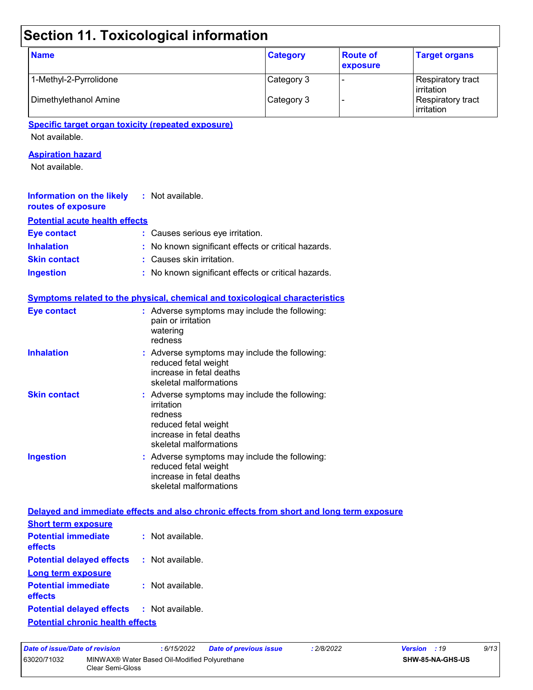# **Section 11. Toxicological information**

| <b>Name</b>            | <b>Category</b> | <b>Route of</b><br>exposure | <b>Target organs</b>                     |
|------------------------|-----------------|-----------------------------|------------------------------------------|
| 1-Methyl-2-Pyrrolidone | Category 3      |                             | Respiratory tract<br><b>l</b> irritation |
| Dimethylethanol Amine  | Category 3      |                             | Respiratory tract<br>irritation          |

#### **Specific target organ toxicity (repeated exposure)**

Not available.

#### **Aspiration hazard**

Not available.

| <b>Information on the likely</b> : Not available.<br>routes of exposure |                                                     |
|-------------------------------------------------------------------------|-----------------------------------------------------|
| <b>Potential acute health effects</b>                                   |                                                     |
| Eye contact                                                             | : Causes serious eye irritation.                    |
| <b>Inhalation</b>                                                       | : No known significant effects or critical hazards. |
| <b>Skin contact</b>                                                     | : Causes skin irritation.                           |
| <b>Ingestion</b>                                                        | : No known significant effects or critical hazards. |

|                     | <b>Symptoms related to the physical, chemical and toxicological characteristics</b>                                                                  |
|---------------------|------------------------------------------------------------------------------------------------------------------------------------------------------|
| <b>Eye contact</b>  | $:$ Adverse symptoms may include the following:<br>pain or irritation<br>watering<br>redness                                                         |
| <b>Inhalation</b>   | $:$ Adverse symptoms may include the following:<br>reduced fetal weight<br>increase in fetal deaths<br>skeletal malformations                        |
| <b>Skin contact</b> | : Adverse symptoms may include the following:<br>irritation<br>redness<br>reduced fetal weight<br>increase in fetal deaths<br>skeletal malformations |
| <b>Ingestion</b>    | : Adverse symptoms may include the following:<br>reduced fetal weight<br>increase in fetal deaths<br>skeletal malformations                          |

#### **Delayed and immediate effects and also chronic effects from short and long term exposure Short term exposure**

| <b>Short term exposure</b>                        |                    |
|---------------------------------------------------|--------------------|
| <b>Potential immediate</b><br>effects             | $:$ Not available. |
| <b>Potential delayed effects</b>                  | : Not available.   |
| Long term exposure                                |                    |
| <b>Potential immediate</b><br>effects             | $:$ Not available. |
| <b>Potential delayed effects : Not available.</b> |                    |
| <b>Potential chronic health effects</b>           |                    |

| Date of issue/Date of revision                                                   |  | : 6/15/2022 | Date of previous issue | : 2/8/2022 | <b>Version</b> : 19 | 9/13 |
|----------------------------------------------------------------------------------|--|-------------|------------------------|------------|---------------------|------|
| 63020/71032<br>MINWAX® Water Based Oil-Modified Polyurethane<br>Clear Semi-Gloss |  |             | SHW-85-NA-GHS-US       |            |                     |      |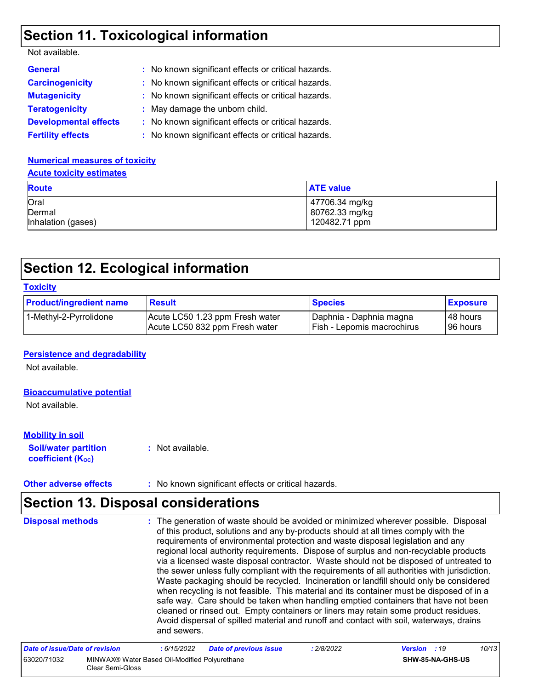### **Section 11. Toxicological information**

| Not available. |  |
|----------------|--|
|----------------|--|

| <b>General</b>               | : No known significant effects or critical hazards. |
|------------------------------|-----------------------------------------------------|
| <b>Carcinogenicity</b>       | : No known significant effects or critical hazards. |
| <b>Mutagenicity</b>          | : No known significant effects or critical hazards. |
| <b>Teratogenicity</b>        | : May damage the unborn child.                      |
| <b>Developmental effects</b> | : No known significant effects or critical hazards. |
| <b>Fertility effects</b>     | : No known significant effects or critical hazards. |

#### **Numerical measures of toxicity Acute toxicity estimates**

| <b>Route</b>       | <b>ATE value</b> |
|--------------------|------------------|
| Oral               | 47706.34 mg/kg   |
| Dermal             | 80762.33 mg/kg   |
| Inhalation (gases) | 120482.71 ppm    |

### **Section 12. Ecological information**

| <b>Toxicity</b>                |                                                                   |                                                         |                        |  |
|--------------------------------|-------------------------------------------------------------------|---------------------------------------------------------|------------------------|--|
| <b>Product/ingredient name</b> | <b>Result</b>                                                     | <b>Species</b>                                          | <b>Exposure</b>        |  |
| 1-Methyl-2-Pyrrolidone         | Acute LC50 1.23 ppm Fresh water<br>Acute LC50 832 ppm Fresh water | Daphnia - Daphnia magna<br>  Fish - Lepomis macrochirus | 48 hours<br>l 96 hours |  |

#### **Persistence and degradability**

Not available.

#### **Bioaccumulative potential**

Not available.

#### **Mobility in soil**

**Soil/water partition coefficient (K**<sub>oc</sub>)

**:** Not available.

**Other adverse effects** : No known significant effects or critical hazards.

### **Section 13. Disposal considerations**

The generation of waste should be avoided or minimized wherever possible. Disposal of this product, solutions and any by-products should at all times comply with the requirements of environmental protection and waste disposal legislation and any regional local authority requirements. Dispose of surplus and non-recyclable products via a licensed waste disposal contractor. Waste should not be disposed of untreated to the sewer unless fully compliant with the requirements of all authorities with jurisdiction. Waste packaging should be recycled. Incineration or landfill should only be considered when recycling is not feasible. This material and its container must be disposed of in a safe way. Care should be taken when handling emptied containers that have not been cleaned or rinsed out. Empty containers or liners may retain some product residues. Avoid dispersal of spilled material and runoff and contact with soil, waterways, drains and sewers. **Disposal methods :**

| Date of issue/Date of revision |                                                                   | : 6/15/2022 | <b>Date of previous issue</b> | : 2/8/2022 | <b>Version</b> : 19 |                         | 10/13 |
|--------------------------------|-------------------------------------------------------------------|-------------|-------------------------------|------------|---------------------|-------------------------|-------|
| 63020/71032                    | MINWAX® Water Based Oil-Modified Polyurethane<br>Clear Semi-Gloss |             |                               |            |                     | <b>SHW-85-NA-GHS-US</b> |       |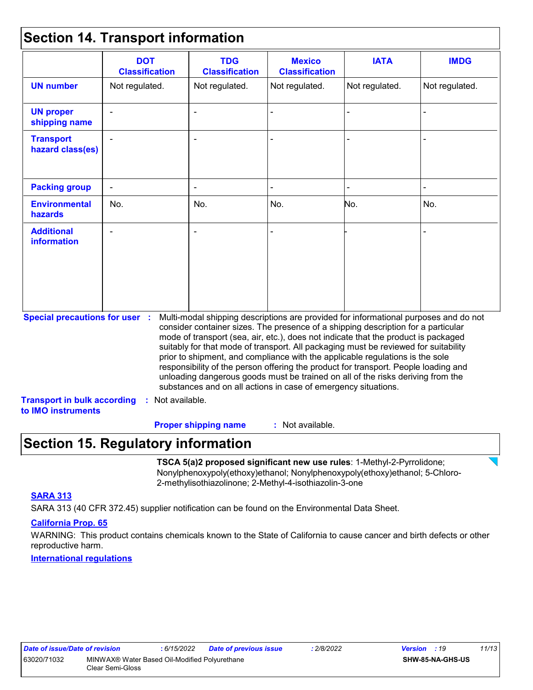### **Section 14. Transport information**

| Not regulated.                                                              | Not regulated. | Not regulated. | Not regulated.                                  |                                                                                                                                                                                                                                                                                                                                                                                                                                                                                                                                                                                                                                                                                     |
|-----------------------------------------------------------------------------|----------------|----------------|-------------------------------------------------|-------------------------------------------------------------------------------------------------------------------------------------------------------------------------------------------------------------------------------------------------------------------------------------------------------------------------------------------------------------------------------------------------------------------------------------------------------------------------------------------------------------------------------------------------------------------------------------------------------------------------------------------------------------------------------------|
|                                                                             |                |                |                                                 | Not regulated.                                                                                                                                                                                                                                                                                                                                                                                                                                                                                                                                                                                                                                                                      |
|                                                                             |                |                |                                                 |                                                                                                                                                                                                                                                                                                                                                                                                                                                                                                                                                                                                                                                                                     |
|                                                                             |                |                |                                                 |                                                                                                                                                                                                                                                                                                                                                                                                                                                                                                                                                                                                                                                                                     |
|                                                                             |                |                |                                                 |                                                                                                                                                                                                                                                                                                                                                                                                                                                                                                                                                                                                                                                                                     |
| No.                                                                         | No.            | No.            | No.                                             | No.                                                                                                                                                                                                                                                                                                                                                                                                                                                                                                                                                                                                                                                                                 |
|                                                                             |                |                |                                                 |                                                                                                                                                                                                                                                                                                                                                                                                                                                                                                                                                                                                                                                                                     |
| <b>Special precautions for user :</b><br><b>Transport in bulk according</b> |                |                |                                                 |                                                                                                                                                                                                                                                                                                                                                                                                                                                                                                                                                                                                                                                                                     |
|                                                                             |                | Not available. | : Not available.<br><b>Proper shipping name</b> | Multi-modal shipping descriptions are provided for informational purposes and do not<br>consider container sizes. The presence of a shipping description for a particular<br>mode of transport (sea, air, etc.), does not indicate that the product is packaged<br>suitably for that mode of transport. All packaging must be reviewed for suitability<br>prior to shipment, and compliance with the applicable regulations is the sole<br>responsibility of the person offering the product for transport. People loading and<br>unloading dangerous goods must be trained on all of the risks deriving from the<br>substances and on all actions in case of emergency situations. |

### **Section 15. Regulatory information**

**TSCA 5(a)2 proposed significant new use rules**: 1-Methyl-2-Pyrrolidone; Nonylphenoxypoly(ethoxy)ethanol; Nonylphenoxypoly(ethoxy)ethanol; 5-Chloro-2-methylisothiazolinone; 2-Methyl-4-isothiazolin-3-one

#### **SARA 313**

SARA 313 (40 CFR 372.45) supplier notification can be found on the Environmental Data Sheet.

#### **California Prop. 65**

WARNING: This product contains chemicals known to the State of California to cause cancer and birth defects or other reproductive harm.

**International regulations**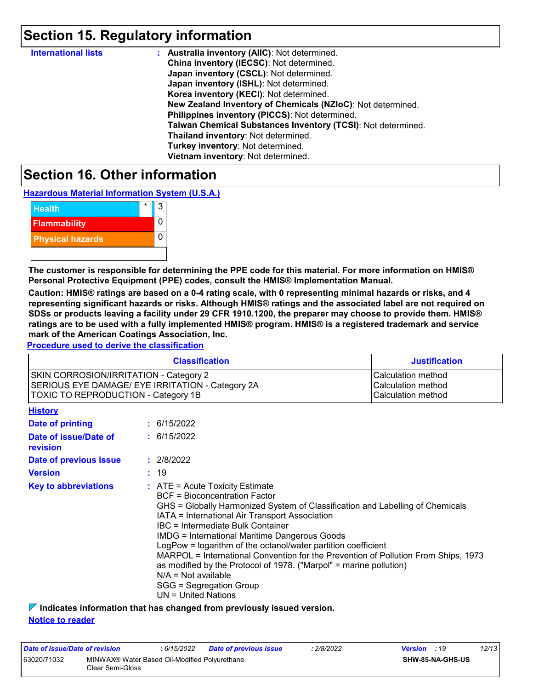### **Section 15. Regulatory information**

| <b>International lists</b> | : Australia inventory (AIIC): Not determined.                |
|----------------------------|--------------------------------------------------------------|
|                            | China inventory (IECSC): Not determined.                     |
|                            | Japan inventory (CSCL): Not determined.                      |
|                            | Japan inventory (ISHL): Not determined.                      |
|                            | Korea inventory (KECI): Not determined.                      |
|                            | New Zealand Inventory of Chemicals (NZIoC): Not determined.  |
|                            | Philippines inventory (PICCS): Not determined.               |
|                            | Taiwan Chemical Substances Inventory (TCSI): Not determined. |
|                            | Thailand inventory: Not determined.                          |
|                            | Turkey inventory: Not determined.                            |
|                            | Vietnam inventory: Not determined.                           |

### **Section 16. Other information**

**Hazardous Material Information System (U.S.A.)**



**The customer is responsible for determining the PPE code for this material. For more information on HMIS® Personal Protective Equipment (PPE) codes, consult the HMIS® Implementation Manual.**

**Caution: HMIS® ratings are based on a 0-4 rating scale, with 0 representing minimal hazards or risks, and 4 representing significant hazards or risks. Although HMIS® ratings and the associated label are not required on SDSs or products leaving a facility under 29 CFR 1910.1200, the preparer may choose to provide them. HMIS® ratings are to be used with a fully implemented HMIS® program. HMIS® is a registered trademark and service mark of the American Coatings Association, Inc.**

**Procedure used to derive the classification**

|                                                                                                                                          | <b>Justification</b>                                                                                                                                                                                                                                                                                                                                                                                                                                                                                                                                                                                                                |  |
|------------------------------------------------------------------------------------------------------------------------------------------|-------------------------------------------------------------------------------------------------------------------------------------------------------------------------------------------------------------------------------------------------------------------------------------------------------------------------------------------------------------------------------------------------------------------------------------------------------------------------------------------------------------------------------------------------------------------------------------------------------------------------------------|--|
| SKIN CORROSION/IRRITATION - Category 2<br>SERIOUS EYE DAMAGE/ EYE IRRITATION - Category 2A<br><b>TOXIC TO REPRODUCTION - Category 1B</b> | Calculation method<br>Calculation method<br>Calculation method                                                                                                                                                                                                                                                                                                                                                                                                                                                                                                                                                                      |  |
| <b>History</b>                                                                                                                           |                                                                                                                                                                                                                                                                                                                                                                                                                                                                                                                                                                                                                                     |  |
| <b>Date of printing</b>                                                                                                                  | : 6/15/2022                                                                                                                                                                                                                                                                                                                                                                                                                                                                                                                                                                                                                         |  |
| Date of issue/Date of<br>revision                                                                                                        | : 6/15/2022                                                                                                                                                                                                                                                                                                                                                                                                                                                                                                                                                                                                                         |  |
| Date of previous issue                                                                                                                   | : 2/8/2022                                                                                                                                                                                                                                                                                                                                                                                                                                                                                                                                                                                                                          |  |
| <b>Version</b>                                                                                                                           | : 19                                                                                                                                                                                                                                                                                                                                                                                                                                                                                                                                                                                                                                |  |
| <b>Key to abbreviations</b>                                                                                                              | $\therefore$ ATE = Acute Toxicity Estimate<br><b>BCF</b> = Bioconcentration Factor<br>GHS = Globally Harmonized System of Classification and Labelling of Chemicals<br>IATA = International Air Transport Association<br><b>IBC</b> = Intermediate Bulk Container<br><b>IMDG = International Maritime Dangerous Goods</b><br>LogPow = logarithm of the octanol/water partition coefficient<br>MARPOL = International Convention for the Prevention of Pollution From Ships, 1973<br>as modified by the Protocol of 1978. ("Marpol" = marine pollution)<br>$N/A = Not available$<br>SGG = Segregation Group<br>$UN = United Nations$ |  |

**Indicates information that has changed from previously issued version.**

#### **Notice to reader**

| Date of issue/Date of revision |                                                                   | : 6/15/2022 | <b>Date of previous issue</b> | : 2/8/2022 | <b>Version</b> : 19     |  | 12/13 |
|--------------------------------|-------------------------------------------------------------------|-------------|-------------------------------|------------|-------------------------|--|-------|
| 63020/71032                    | MINWAX® Water Based Oil-Modified Polyurethane<br>Clear Semi-Gloss |             |                               |            | <b>SHW-85-NA-GHS-US</b> |  |       |